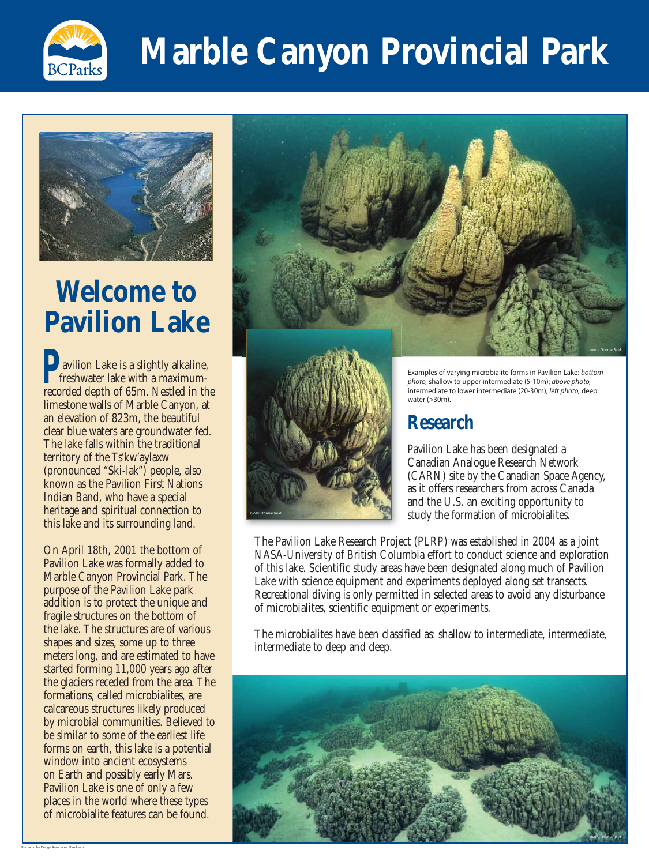On April 18th, 2001 the bottom of Pavilion Lake was formally added to Marble Canyon Provincial Park. The purpose of the Pavilion Lake park addition is to protect the unique and fragile structures on the bottom of the lake. The structures are of various shapes and sizes, some up to three meters long, and are estimated to have started forming 11,000 years ago after the glaciers receded from the area. The formations, called microbialites, are calcareous structures likely produced by microbial communities. Believed to be similar to some of the earliest life forms on earth, this lake is a potential window into ancient ecosystems on Earth and possibly early Mars. Pavilion Lake is one of only a few places in the world where these types of microbialite features can be found.

### **Research**

Pavilion Lake has been designated a Canadian Analogue Research Network (CARN) site by the Canadian Space Agency, as it offers researchers from across Canada and the U.S. an exciting opportunity to study the formation of microbialites.

The Pavilion Lake Research Project (PLRP) was established in 2004 as a joint NASA-University of British Columbia effort to conduct science and exploration of this lake. Scientific study areas have been designated along much of Pavilion Lake with science equipment and experiments deployed along set transects. Recreational diving is only permitted in selected areas to avoid any disturbance of microbialites, scientific equipment or experiments.

The microbialites have been classified as: shallow to intermediate, intermediate, intermediate to deep and deep.



## **Marble Canyon Provincial Park**



Examples of varying microbialite forms in Pavilion Lake: bottom photo, shallow to upper intermediate (5-10m); above photo, intermediate to lower intermediate (20-30m); left photo, deep water (>30m).







### **Welcome to Pavilion Lake**

**D** avilion Lake is a slightly alkaline, **Follo** freshwater lake with a maximumrecorded depth of 65m. Nestled in the limestone walls of Marble Canyon, at an elevation of 823m, the beautiful clear blue waters are groundwater fed. The lake falls within the traditional territory of the Ts'kw'aylaxw (pronounced "Ski-lak") people, also known as the Pavilion First Nations Indian Band, who have a special heritage and spiritual connection to this lake and its surrounding land. **P** av fre